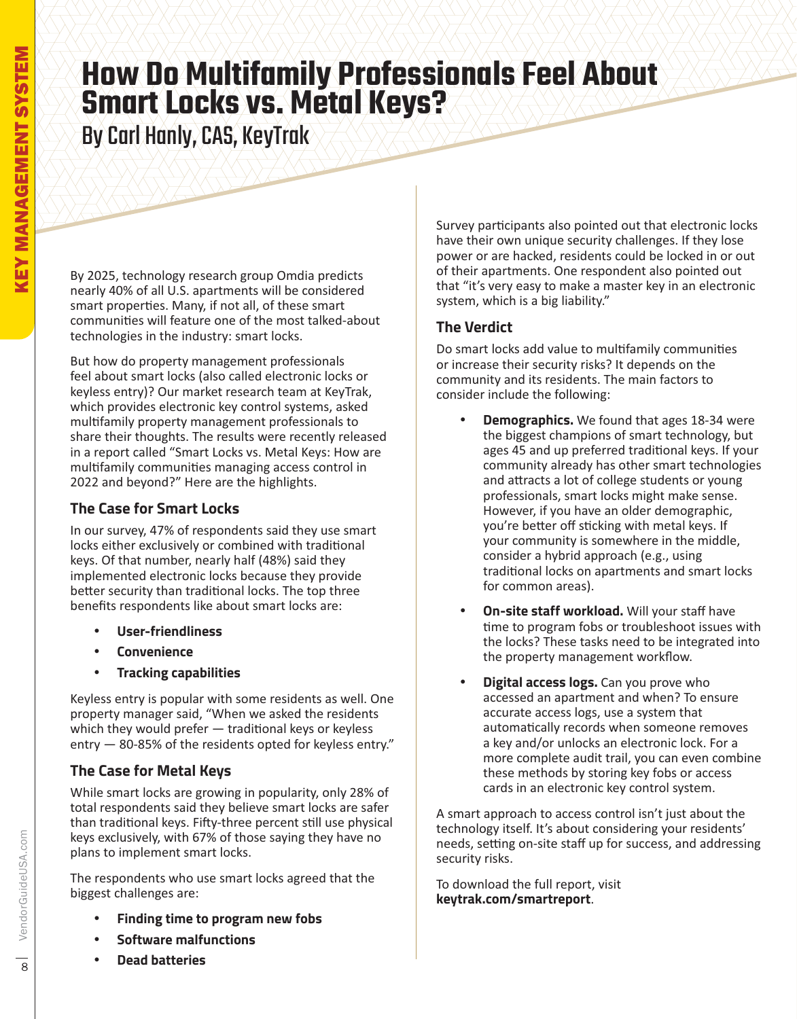### **How Do Multifamily Professionals Feel About Smart Locks vs. Metal Keys?**

By Carl Hanly, CAS, KeyTrak

By 2025, technology research group Omdia predicts nearly 40% of all U.S. apartments will be considered smart properties. Many, if not all, of these smart communities will feature one of the most talked-about technologies in the industry: smart locks.

But how do property management professionals feel about smart locks (also called electronic locks or keyless entry)? Our market research team at KeyTrak, which provides electronic key control systems, asked multifamily property management professionals to share their thoughts. The results were recently released in a report called "Smart Locks vs. Metal Keys: How are multifamily communities managing access control in 2022 and beyond?" Here are the highlights.

### **The Case for Smart Locks**

In our survey, 47% of respondents said they use smart locks either exclusively or combined with traditional keys. Of that number, nearly half (48%) said they implemented electronic locks because they provide better security than traditional locks. The top three benefits respondents like about smart locks are:

- % **User-friendliness**
- % **Convenience**
- % **Tracking capabilities**

Keyless entry is popular with some residents as well. One property manager said, "When we asked the residents which they would prefer  $-$  traditional keys or keyless entry  $-$  80-85% of the residents opted for keyless entry."

### **The Case for Metal Keys**

While smart locks are growing in popularity, only 28% of total respondents said they believe smart locks are safer than traditional keys. Fifty-three percent still use physical keys exclusively, with 67% of those saying they have no plans to implement smart locks.

The respondents who use smart locks agreed that the biggest challenges are:

- % **Finding time to program new fobs**
- **Software malfunctions**
- % **Dead batteries**

Survey participants also pointed out that electronic locks have their own unique security challenges. If they lose power or are hacked, residents could be locked in or out of their apartments. One respondent also pointed out that "it's very easy to make a master key in an electronic system, which is a big liability."

### **The Verdict**

Do smart locks add value to multifamily communities or increase their security risks? It depends on the community and its residents. The main factors to consider include the following:

- **Demographics.** We found that ages 18-34 were the biggest champions of smart technology, but ages 45 and up preferred traditional keys. If your community already has other smart technologies and attracts a lot of college students or young professionals, smart locks might make sense. However, if you have an older demographic, vou're better off sticking with metal keys. If your community is somewhere in the middle, consider a hybrid approach (e.g., using traditional locks on apartments and smart locks for common areas).
- **On-site staff workload.** Will your staff have time to program fobs or troubleshoot issues with the locks? These tasks need to be integrated into the property management workflow.
- **Digital access logs.** Can you prove who accessed an apartment and when? To ensure accurate access logs, use a system that automatically records when someone removes a key and/or unlocks an electronic lock. For a more complete audit trail, you can even combine these methods by storing key fobs or access cards in an electronic key control system.

A smart approach to access control isn't just about the technology itself. It's about considering your residents' needs, setting on-site staff up for success, and addressing security risks.

To download the full report, visit **keytrak.com/smartreport**.